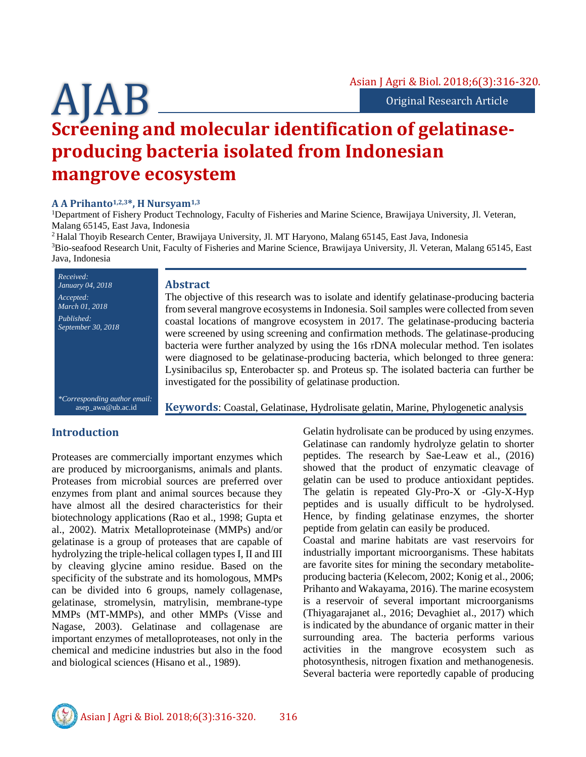# **Screening and molecular identification of gelatinaseproducing bacteria isolated from Indonesian mangrove ecosystem**

#### **A A Prihanto1,2,3\*, H Nursyam1,3**

<sup>1</sup>Department of Fishery Product Technology, Faculty of Fisheries and Marine Science, Brawijaya University, Jl. Veteran, Malang 65145, East Java, Indonesia

<sup>2</sup> Halal Thoyib Research Center, Brawijaya University, Jl. MT Haryono, Malang 65145, East Java, Indonesia <sup>3</sup>Bio-seafood Research Unit, Faculty of Fisheries and Marine Science, Brawijaya University, Jl. Veteran, Malang 65145, East Java, Indonesia

**Abstract** The objective of this research was to isolate and identify gelatinase-producing bacteria from several mangrove ecosystems in Indonesia. Soil samples were collected from seven coastal locations of mangrove ecosystem in 2017. The gelatinase-producing bacteria were screened by using screening and confirmation methods. The gelatinase-producing bacteria were further analyzed by using the 16s rDNA molecular method. Ten isolates were diagnosed to be gelatinase-producing bacteria, which belonged to three genera: Lysinibacilus sp, Enterobacter sp. and Proteus sp. The isolated bacteria can further be investigated for the possibility of gelatinase production. *Received: January 04, 2018 Accepted: March 01, 2018 Published: September 30, 2018*

*\*Corresponding author email:* asep\_awa@ub.ac.id

**Keywords**: Coastal, Gelatinase, Hydrolisate gelatin, Marine, Phylogenetic analysis

## **Introduction**

Proteases are commercially important enzymes which are produced by microorganisms, animals and plants. Proteases from microbial sources are preferred over enzymes from plant and animal sources because they have almost all the desired characteristics for their biotechnology applications (Rao et al., 1998; Gupta et al., 2002). Matrix Metalloproteinase (MMPs) and/or gelatinase is a group of proteases that are capable of hydrolyzing the triple-helical collagen types I, II and III by cleaving glycine amino residue. Based on the specificity of the substrate and its homologous, MMPs can be divided into 6 groups, namely collagenase, gelatinase, stromelysin, matrylisin, membrane-type MMPs (MT-MMPs), and other MMPs (Visse and Nagase, 2003). Gelatinase and collagenase are important enzymes of metalloproteases, not only in the chemical and medicine industries but also in the food and biological sciences (Hisano et al., 1989).

Gelatin hydrolisate can be produced by using enzymes. Gelatinase can randomly hydrolyze gelatin to shorter peptides. The research by Sae-Leaw et al., (2016) showed that the product of enzymatic cleavage of gelatin can be used to produce antioxidant peptides. The gelatin is repeated Gly-Pro-X or -Gly-X-Hyp peptides and is usually difficult to be hydrolysed. Hence, by finding gelatinase enzymes, the shorter peptide from gelatin can easily be produced.

Coastal and marine habitats are vast reservoirs for industrially important microorganisms. These habitats are favorite sites for mining the secondary metaboliteproducing bacteria (Kelecom, 2002; Konig et al., 2006; Prihanto and Wakayama, 2016). The marine ecosystem is a reservoir of several important microorganisms (Thiyagarajanet al., 2016; Devaghiet al., 2017) which is indicated by the abundance of organic matter in their surrounding area. The bacteria performs various activities in the mangrove ecosystem such as photosynthesis, nitrogen fixation and methanogenesis. Several bacteria were reportedly capable of producing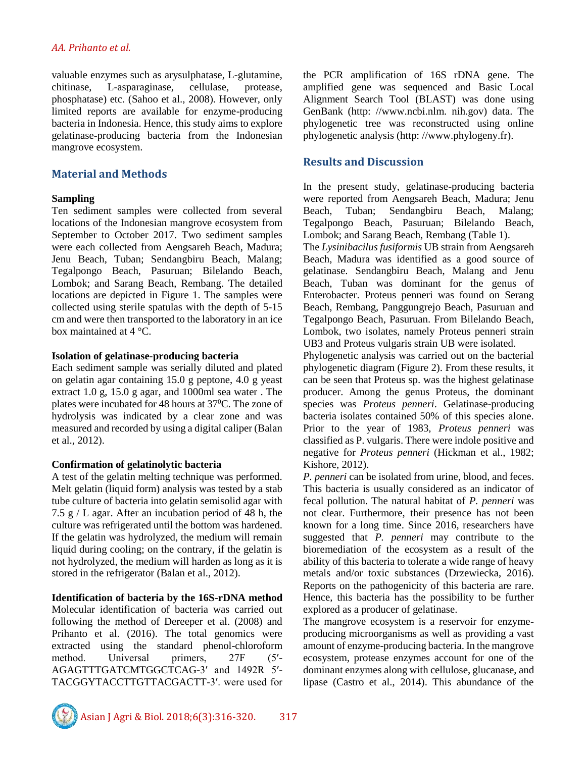#### *AA. Prihanto et al.*

valuable enzymes such as arysulphatase, L-glutamine, chitinase, L-asparaginase, cellulase, protease, phosphatase) etc. (Sahoo et al., 2008). However, only limited reports are available for enzyme-producing bacteria in Indonesia. Hence, this study aims to explore gelatinase-producing bacteria from the Indonesian mangrove ecosystem.

# **Material and Methods**

#### **Sampling**

Ten sediment samples were collected from several locations of the Indonesian mangrove ecosystem from September to October 2017. Two sediment samples were each collected from Aengsareh Beach, Madura; Jenu Beach, Tuban; Sendangbiru Beach, Malang; Tegalpongo Beach, Pasuruan; Bilelando Beach, Lombok; and Sarang Beach, Rembang. The detailed locations are depicted in Figure 1. The samples were collected using sterile spatulas with the depth of 5-15 cm and were then transported to the laboratory in an ice box maintained at 4 °C.

#### **Isolation of gelatinase-producing bacteria**

Each sediment sample was serially diluted and plated on gelatin agar containing 15.0 g peptone, 4.0 g yeast extract 1.0 g, 15.0 g agar, and 1000ml sea water . The plates were incubated for 48 hours at  $37^{\circ}$ C. The zone of hydrolysis was indicated by a clear zone and was measured and recorded by using a digital caliper (Balan et al., 2012).

## **Confirmation of gelatinolytic bacteria**

A test of the gelatin melting technique was performed. Melt gelatin (liquid form) analysis was tested by a stab tube culture of bacteria into gelatin semisolid agar with 7.5 g  $/L$  agar. After an incubation period of 48 h, the culture was refrigerated until the bottom was hardened. If the gelatin was hydrolyzed, the medium will remain liquid during cooling; on the contrary, if the gelatin is not hydrolyzed, the medium will harden as long as it is stored in the refrigerator (Balan et al., 2012).

## **Identification of bacteria by the 16S-rDNA method**

Molecular identification of bacteria was carried out following the method of Dereeper et al. (2008) and Prihanto et al. (2016). The total genomics were extracted using the standard phenol-chloroform method. Universal primers, 27F (5′- AGAGTTTGATCMTGGCTCAG-3′ and 1492R 5′- TACGGYTACCTTGTTACGACTT-3′. were used for

the PCR amplification of 16S rDNA gene. The amplified gene was sequenced and Basic Local Alignment Search Tool (BLAST) was done using GenBank (http: //www.ncbi.nlm. nih.gov) data. The phylogenetic tree was reconstructed using online phylogenetic analysis (http: //www.phylogeny.fr).

# **Results and Discussion**

In the present study, gelatinase-producing bacteria were reported from Aengsareh Beach, Madura; Jenu Beach, Tuban; Sendangbiru Beach, Malang; Tegalpongo Beach, Pasuruan; Bilelando Beach, Lombok; and Sarang Beach, Rembang (Table 1).

The *Lysinibacilus fusiformis* UB strain from Aengsareh Beach, Madura was identified as a good source of gelatinase. Sendangbiru Beach, Malang and Jenu Beach, Tuban was dominant for the genus of Enterobacter. Proteus penneri was found on Serang Beach, Rembang, Panggungrejo Beach, Pasuruan and Tegalpongo Beach, Pasuruan. From Bilelando Beach, Lombok, two isolates, namely Proteus penneri strain UB3 and Proteus vulgaris strain UB were isolated.

Phylogenetic analysis was carried out on the bacterial phylogenetic diagram (Figure 2). From these results, it can be seen that Proteus sp. was the highest gelatinase producer. Among the genus Proteus, the dominant species was *Proteus penneri*. Gelatinase-producing bacteria isolates contained 50% of this species alone. Prior to the year of 1983, *Proteus penneri* was classified as P. vulgaris. There were indole positive and negative for *Proteus penneri* (Hickman et al., 1982; Kishore, 2012).

*P. penneri* can be isolated from urine, blood, and feces. This bacteria is usually considered as an indicator of fecal pollution. The natural habitat of *P. penneri* was not clear. Furthermore, their presence has not been known for a long time. Since 2016, researchers have suggested that *P. penneri* may contribute to the bioremediation of the ecosystem as a result of the ability of this bacteria to tolerate a wide range of heavy metals and/or toxic substances (Drzewiecka, 2016). Reports on the pathogenicity of this bacteria are rare. Hence, this bacteria has the possibility to be further explored as a producer of gelatinase.

The mangrove ecosystem is a reservoir for enzymeproducing microorganisms as well as providing a vast amount of enzyme-producing bacteria. In the mangrove ecosystem, protease enzymes account for one of the dominant enzymes along with cellulose, glucanase, and lipase (Castro et al., 2014). This abundance of the

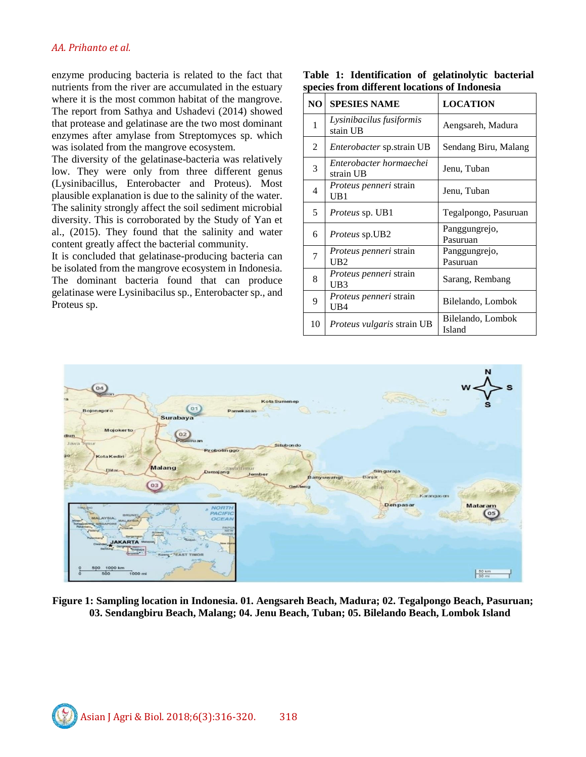enzyme producing bacteria is related to the fact that nutrients from the river are accumulated in the estuary where it is the most common habitat of the mangrove. The report from Sathya and Ushadevi (2014) showed that protease and gelatinase are the two most dominant enzymes after amylase from Streptomyces sp. which was isolated from the mangrove ecosystem.

The diversity of the gelatinase-bacteria was relatively low. They were only from three different genus (Lysinibacillus, Enterobacter and Proteus). Most plausible explanation is due to the salinity of the water. The salinity strongly affect the soil sediment microbial diversity. This is corroborated by the Study of Yan et al., (2015). They found that the salinity and water content greatly affect the bacterial community.

It is concluded that gelatinase-producing bacteria can be isolated from the mangrove ecosystem in Indonesia. The dominant bacteria found that can produce gelatinase were Lysinibacilus sp., Enterobacter sp., and Proteus sp.

|                                               |  | Table 1: Identification of gelatinolytic bacterial |  |  |  |  |
|-----------------------------------------------|--|----------------------------------------------------|--|--|--|--|
| species from different locations of Indonesia |  |                                                    |  |  |  |  |

| N <sub>O</sub> | <b>SPESIES NAME</b>                              | <b>LOCATION</b>             |
|----------------|--------------------------------------------------|-----------------------------|
| 1              | Lysinibacilus fusiformis<br>stain UB             | Aengsareh, Madura           |
| 2              | <i>Enterobacter</i> sp.strain UB                 | Sendang Biru, Malang        |
| 3              | Enterobacter hormaechei<br>strain UB             | Jenu, Tuban                 |
| 4              | <i>Proteus penneri</i> strain<br>UB1             | Jenu, Tuban                 |
| 5              | <i>Proteus sp.</i> UB1                           | Tegalpongo, Pasuruan        |
| 6              | <i>Proteus</i> sp.UB2                            | Panggungrejo,<br>Pasuruan   |
| 7              | Proteus penneri strain<br>IJB2                   | Panggungrejo,<br>Pasuruan   |
| 8              | <i>Proteus penneri</i> strain<br>UB <sub>3</sub> | Sarang, Rembang             |
| 9              | <i>Proteus penneri</i> strain<br>UB4             | Bilelando, Lombok           |
| 10             | <i>Proteus vulgaris</i> strain UB                | Bilelando, Lombok<br>Island |



**Figure 1: Sampling location in Indonesia. 01. Aengsareh Beach, Madura; 02. Tegalpongo Beach, Pasuruan; 03. Sendangbiru Beach, Malang; 04. Jenu Beach, Tuban; 05. Bilelando Beach, Lombok Island**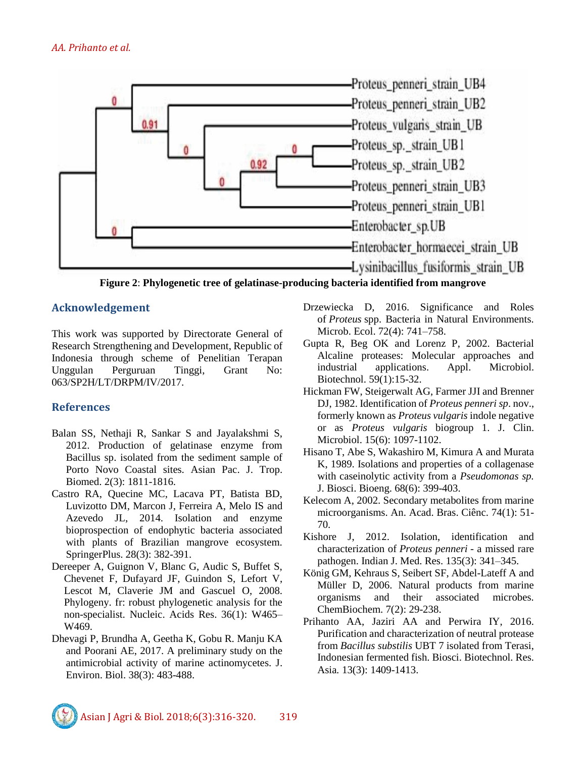

**Figure 2**: **Phylogenetic tree of gelatinase-producing bacteria identified from mangrove**

# **Acknowledgement**

This work was supported by Directorate General of Research Strengthening and Development, Republic of Indonesia through scheme of Penelitian Terapan Unggulan Perguruan Tinggi, Grant No: 063/SP2H/LT/DRPM/IV/2017.

# **References**

- Balan SS, Nethaji R, Sankar S and Jayalakshmi S, 2012. Production of gelatinase enzyme from Bacillus sp. isolated from the sediment sample of Porto Novo Coastal sites. Asian Pac. J. Trop. Biomed. 2(3): 1811-1816.
- Castro RA, Quecine MC, Lacava PT, Batista BD, Luvizotto DM, Marcon J, Ferreira A, Melo IS and Azevedo JL, 2014. Isolation and enzyme bioprospection of endophytic bacteria associated with plants of Brazilian mangrove ecosystem. SpringerPlus. 28(3): 382-391.
- Dereeper A, Guignon V, Blanc G, Audic S, Buffet S, Chevenet F, Dufayard JF, Guindon S, Lefort V, Lescot M, Claverie JM and Gascuel O, 2008. Phylogeny. fr: robust phylogenetic analysis for the non-specialist. Nucleic. Acids Res. 36(1): W465– W469.
- Dhevagi P, Brundha A, Geetha K, Gobu R. Manju KA and Poorani AE, 2017. A preliminary study on the antimicrobial activity of marine actinomycetes. J. Environ. Biol. 38(3): 483-488.
- Drzewiecka D, 2016. Significance and Roles of *Proteus* spp. Bacteria in Natural Environments. Microb. Ecol. 72(4): 741–758.
- Gupta R, Beg OK and Lorenz P, 2002. Bacterial Alcaline proteases: Molecular approaches and industrial applications. Appl. Microbiol. Biotechnol. 59(1):15-32.
- Hickman FW, Steigerwalt AG, Farmer JJI and Brenner DJ, 1982. Identification of *Proteus penneri sp*. nov., formerly known as *Proteus vulgaris* indole negative or as *Proteus vulgaris* biogroup 1. J. Clin. Microbiol. 15(6): 1097-1102.
- Hisano T, Abe S, Wakashiro M, Kimura A and Murata K, 1989. Isolations and properties of a collagenase with caseinolytic activity from a *Pseudomonas sp.*  J. Biosci. Bioeng. 68(6): 399-403.
- Kelecom A, 2002. Secondary metabolites from marine microorganisms. An. Acad. Bras. Ciênc. 74(1): 51- 70.
- Kishore J, 2012. Isolation, identification and characterization of *Proteus penneri* - a missed rare pathogen. Indian J. Med. Res. 135(3): 341–345.
- König GM, Kehraus S, Seibert SF, Abdel-Lateff A and Müller D, 2006. Natural products from marine organisms and their associated microbes. ChemBiochem. 7(2): 29-238.
- Prihanto AA, Jaziri AA and Perwira IY, 2016. Purification and characterization of neutral protease from *Bacillus substilis* UBT 7 isolated from Terasi, Indonesian fermented fish. Biosci. Biotechnol. Res. Asia*.* 13(3): 1409-1413.

Asian J Agri & Biol. 2018;6(3):316-320. 319